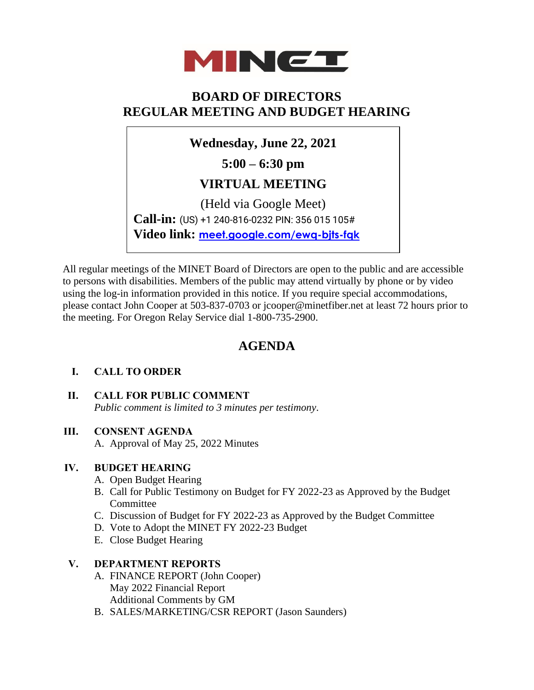

## **BOARD OF DIRECTORS REGULAR MEETING AND BUDGET HEARING**

**Wednesday, June 22, 2021**

**5:00 – 6:30 pm**

## **VIRTUAL MEETING**

(Held via Google Meet) **Call-in:** (US) +1 240-816-0232 PIN: 356 015 105# **Video link: [meet.google.com/ewq-bjts-fqk](https://meet.google.com/bgv-yxzf-kkd)**

All regular meetings of the MINET Board of Directors are open to the public and are accessible to persons with disabilities. Members of the public may attend virtually by phone or by video using the log-in information provided in this notice. If you require special accommodations, please contact John Cooper at 503-837-0703 or jcooper@minetfiber.net at least 72 hours prior to the meeting. For Oregon Relay Service dial 1-800-735-2900.

# **AGENDA**

### **I. CALL TO ORDER**

**II. CALL FOR PUBLIC COMMENT**  *Public comment is limited to 3 minutes per testimony*.

### **III. CONSENT AGENDA**

A. Approval of May 25, 2022 Minutes

#### **IV. BUDGET HEARING**

- A. Open Budget Hearing
- B. Call for Public Testimony on Budget for FY 2022-23 as Approved by the Budget Committee
- C. Discussion of Budget for FY 2022-23 as Approved by the Budget Committee
- D. Vote to Adopt the MINET FY 2022-23 Budget
- E. Close Budget Hearing

#### **V. DEPARTMENT REPORTS**

- A. FINANCE REPORT (John Cooper) May 2022 Financial Report Additional Comments by GM
- B. SALES/MARKETING/CSR REPORT (Jason Saunders)